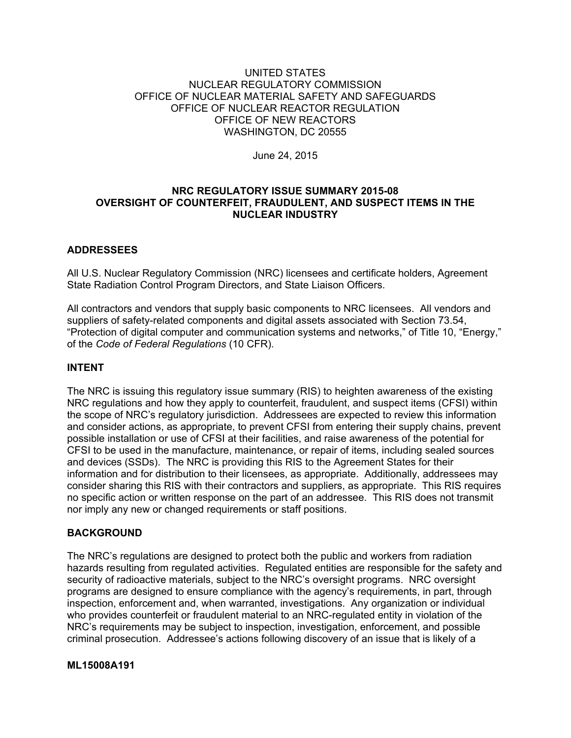## UNITED STATES NUCLEAR REGULATORY COMMISSION OFFICE OF NUCLEAR MATERIAL SAFETY AND SAFEGUARDS OFFICE OF NUCLEAR REACTOR REGULATION OFFICE OF NEW REACTORS WASHINGTON, DC 20555

June 24, 2015

# **NRC REGULATORY ISSUE SUMMARY 2015-08 OVERSIGHT OF COUNTERFEIT, FRAUDULENT, AND SUSPECT ITEMS IN THE NUCLEAR INDUSTRY**

# **ADDRESSEES**

All U.S. Nuclear Regulatory Commission (NRC) licensees and certificate holders, Agreement State Radiation Control Program Directors, and State Liaison Officers.

All contractors and vendors that supply basic components to NRC licensees. All vendors and suppliers of safety-related components and digital assets associated with Section 73.54, "Protection of digital computer and communication systems and networks," of Title 10, "Energy," of the *Code of Federal Regulations* (10 CFR).

# **INTENT**

The NRC is issuing this regulatory issue summary (RIS) to heighten awareness of the existing NRC regulations and how they apply to counterfeit, fraudulent, and suspect items (CFSI) within the scope of NRC's regulatory jurisdiction. Addressees are expected to review this information and consider actions, as appropriate, to prevent CFSI from entering their supply chains, prevent possible installation or use of CFSI at their facilities, and raise awareness of the potential for CFSI to be used in the manufacture, maintenance, or repair of items, including sealed sources and devices (SSDs). The NRC is providing this RIS to the Agreement States for their information and for distribution to their licensees, as appropriate. Additionally, addressees may consider sharing this RIS with their contractors and suppliers, as appropriate. This RIS requires no specific action or written response on the part of an addressee. This RIS does not transmit nor imply any new or changed requirements or staff positions.

# **BACKGROUND**

The NRC's regulations are designed to protect both the public and workers from radiation hazards resulting from regulated activities. Regulated entities are responsible for the safety and security of radioactive materials, subject to the NRC's oversight programs. NRC oversight programs are designed to ensure compliance with the agency's requirements, in part, through inspection, enforcement and, when warranted, investigations. Any organization or individual who provides counterfeit or fraudulent material to an NRC-regulated entity in violation of the NRC's requirements may be subject to inspection, investigation, enforcement, and possible criminal prosecution. Addressee's actions following discovery of an issue that is likely of a

## **ML15008A191**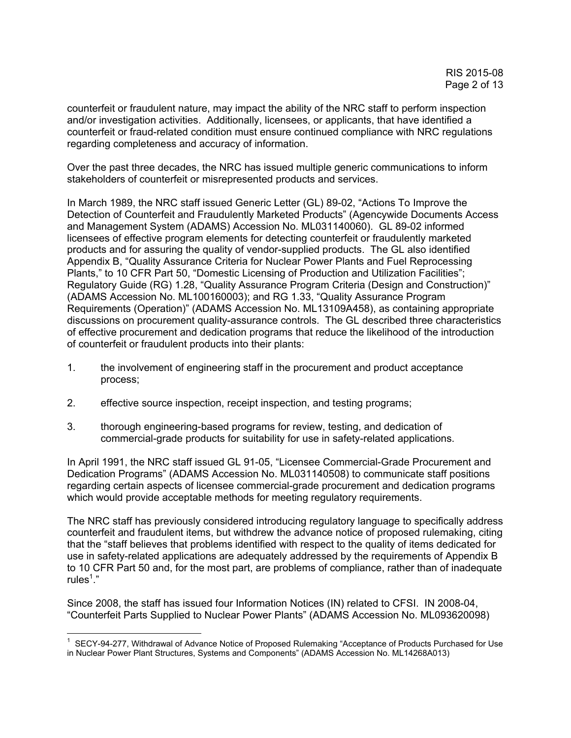counterfeit or fraudulent nature, may impact the ability of the NRC staff to perform inspection and/or investigation activities. Additionally, licensees, or applicants, that have identified a counterfeit or fraud-related condition must ensure continued compliance with NRC regulations regarding completeness and accuracy of information.

Over the past three decades, the NRC has issued multiple generic communications to inform stakeholders of counterfeit or misrepresented products and services.

In March 1989, the NRC staff issued Generic Letter (GL) 89-02, "Actions To Improve the Detection of Counterfeit and Fraudulently Marketed Products" (Agencywide Documents Access and Management System (ADAMS) Accession No. ML031140060). GL 89-02 informed licensees of effective program elements for detecting counterfeit or fraudulently marketed products and for assuring the quality of vendor-supplied products. The GL also identified Appendix B, "Quality Assurance Criteria for Nuclear Power Plants and Fuel Reprocessing Plants," to 10 CFR Part 50, "Domestic Licensing of Production and Utilization Facilities"; Regulatory Guide (RG) 1.28, "Quality Assurance Program Criteria (Design and Construction)" (ADAMS Accession No. ML100160003); and RG 1.33, "Quality Assurance Program Requirements (Operation)" (ADAMS Accession No. ML13109A458), as containing appropriate discussions on procurement quality-assurance controls. The GL described three characteristics of effective procurement and dedication programs that reduce the likelihood of the introduction of counterfeit or fraudulent products into their plants:

- 1. the involvement of engineering staff in the procurement and product acceptance process;
- 2. effective source inspection, receipt inspection, and testing programs;
- 3. thorough engineering-based programs for review, testing, and dedication of commercial-grade products for suitability for use in safety-related applications.

In April 1991, the NRC staff issued GL 91-05, "Licensee Commercial-Grade Procurement and Dedication Programs" (ADAMS Accession No. ML031140508) to communicate staff positions regarding certain aspects of licensee commercial-grade procurement and dedication programs which would provide acceptable methods for meeting regulatory requirements.

The NRC staff has previously considered introducing regulatory language to specifically address counterfeit and fraudulent items, but withdrew the advance notice of proposed rulemaking, citing that the "staff believes that problems identified with respect to the quality of items dedicated for use in safety-related applications are adequately addressed by the requirements of Appendix B to 10 CFR Part 50 and, for the most part, are problems of compliance, rather than of inadequate rules $^1.$ "

Since 2008, the staff has issued four Information Notices (IN) related to CFSI. IN 2008-04, "Counterfeit Parts Supplied to Nuclear Power Plants" (ADAMS Accession No. ML093620098)

<sup>1</sup> <sup>1</sup> SECY-94-277, Withdrawal of Advance Notice of Proposed Rulemaking "Acceptance of Products Purchased for Use in Nuclear Power Plant Structures, Systems and Components" (ADAMS Accession No. ML14268A013)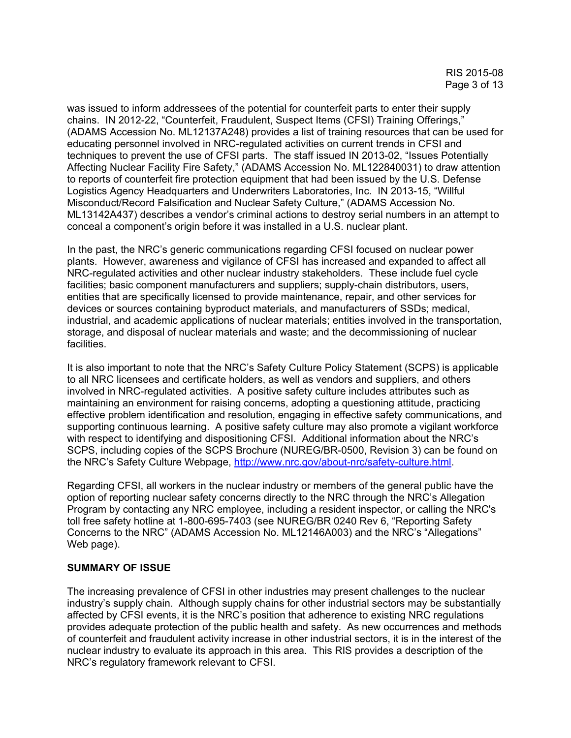was issued to inform addressees of the potential for counterfeit parts to enter their supply chains. IN 2012-22, "Counterfeit, Fraudulent, Suspect Items (CFSI) Training Offerings," (ADAMS Accession No. ML12137A248) provides a list of training resources that can be used for educating personnel involved in NRC-regulated activities on current trends in CFSI and techniques to prevent the use of CFSI parts. The staff issued IN 2013-02, "Issues Potentially Affecting Nuclear Facility Fire Safety," (ADAMS Accession No. ML122840031) to draw attention to reports of counterfeit fire protection equipment that had been issued by the U.S. Defense Logistics Agency Headquarters and Underwriters Laboratories, Inc. IN 2013-15, "Willful Misconduct/Record Falsification and Nuclear Safety Culture," (ADAMS Accession No. ML13142A437) describes a vendor's criminal actions to destroy serial numbers in an attempt to conceal a component's origin before it was installed in a U.S. nuclear plant.

In the past, the NRC's generic communications regarding CFSI focused on nuclear power plants. However, awareness and vigilance of CFSI has increased and expanded to affect all NRC-regulated activities and other nuclear industry stakeholders. These include fuel cycle facilities; basic component manufacturers and suppliers; supply-chain distributors, users, entities that are specifically licensed to provide maintenance, repair, and other services for devices or sources containing byproduct materials, and manufacturers of SSDs; medical, industrial, and academic applications of nuclear materials; entities involved in the transportation, storage, and disposal of nuclear materials and waste; and the decommissioning of nuclear facilities.

It is also important to note that the NRC's Safety Culture Policy Statement (SCPS) is applicable to all NRC licensees and certificate holders, as well as vendors and suppliers, and others involved in NRC-regulated activities. A positive safety culture includes attributes such as maintaining an environment for raising concerns, adopting a questioning attitude, practicing effective problem identification and resolution, engaging in effective safety communications, and supporting continuous learning. A positive safety culture may also promote a vigilant workforce with respect to identifying and dispositioning CFSI. Additional information about the NRC's SCPS, including copies of the SCPS Brochure (NUREG/BR-0500, Revision 3) can be found on the NRC's Safety Culture Webpage, http://www.nrc.gov/about-nrc/safety-culture.html.

Regarding CFSI, all workers in the nuclear industry or members of the general public have the option of reporting nuclear safety concerns directly to the NRC through the NRC's Allegation Program by contacting any NRC employee, including a resident inspector, or calling the NRC's toll free safety hotline at 1-800-695-7403 (see NUREG/BR 0240 Rev 6, "Reporting Safety Concerns to the NRC" (ADAMS Accession No. ML12146A003) and the NRC's "Allegations" Web page).

## **SUMMARY OF ISSUE**

The increasing prevalence of CFSI in other industries may present challenges to the nuclear industry's supply chain. Although supply chains for other industrial sectors may be substantially affected by CFSI events, it is the NRC's position that adherence to existing NRC regulations provides adequate protection of the public health and safety. As new occurrences and methods of counterfeit and fraudulent activity increase in other industrial sectors, it is in the interest of the nuclear industry to evaluate its approach in this area. This RIS provides a description of the NRC's regulatory framework relevant to CFSI.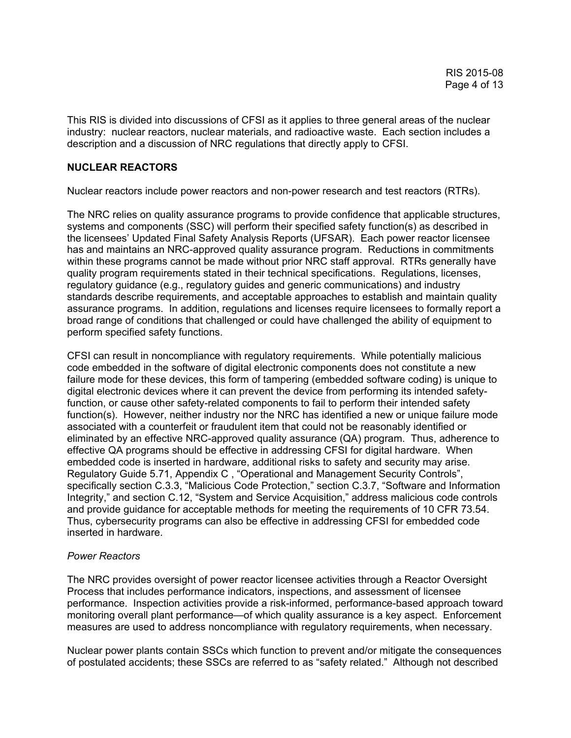This RIS is divided into discussions of CFSI as it applies to three general areas of the nuclear industry: nuclear reactors, nuclear materials, and radioactive waste. Each section includes a description and a discussion of NRC regulations that directly apply to CFSI.

## **NUCLEAR REACTORS**

Nuclear reactors include power reactors and non-power research and test reactors (RTRs).

The NRC relies on quality assurance programs to provide confidence that applicable structures, systems and components (SSC) will perform their specified safety function(s) as described in the licensees' Updated Final Safety Analysis Reports (UFSAR). Each power reactor licensee has and maintains an NRC-approved quality assurance program. Reductions in commitments within these programs cannot be made without prior NRC staff approval. RTRs generally have quality program requirements stated in their technical specifications. Regulations, licenses, regulatory guidance (e.g., regulatory guides and generic communications) and industry standards describe requirements, and acceptable approaches to establish and maintain quality assurance programs. In addition, regulations and licenses require licensees to formally report a broad range of conditions that challenged or could have challenged the ability of equipment to perform specified safety functions.

CFSI can result in noncompliance with regulatory requirements. While potentially malicious code embedded in the software of digital electronic components does not constitute a new failure mode for these devices, this form of tampering (embedded software coding) is unique to digital electronic devices where it can prevent the device from performing its intended safetyfunction, or cause other safety-related components to fail to perform their intended safety function(s). However, neither industry nor the NRC has identified a new or unique failure mode associated with a counterfeit or fraudulent item that could not be reasonably identified or eliminated by an effective NRC-approved quality assurance (QA) program. Thus, adherence to effective QA programs should be effective in addressing CFSI for digital hardware. When embedded code is inserted in hardware, additional risks to safety and security may arise. Regulatory Guide 5.71, Appendix C , "Operational and Management Security Controls", specifically section C.3.3, "Malicious Code Protection," section C.3.7, "Software and Information Integrity," and section C.12, "System and Service Acquisition," address malicious code controls and provide guidance for acceptable methods for meeting the requirements of 10 CFR 73.54. Thus, cybersecurity programs can also be effective in addressing CFSI for embedded code inserted in hardware.

## *Power Reactors*

The NRC provides oversight of power reactor licensee activities through a Reactor Oversight Process that includes performance indicators, inspections, and assessment of licensee performance. Inspection activities provide a risk-informed, performance-based approach toward monitoring overall plant performance—of which quality assurance is a key aspect. Enforcement measures are used to address noncompliance with regulatory requirements, when necessary.

Nuclear power plants contain SSCs which function to prevent and/or mitigate the consequences of postulated accidents; these SSCs are referred to as "safety related." Although not described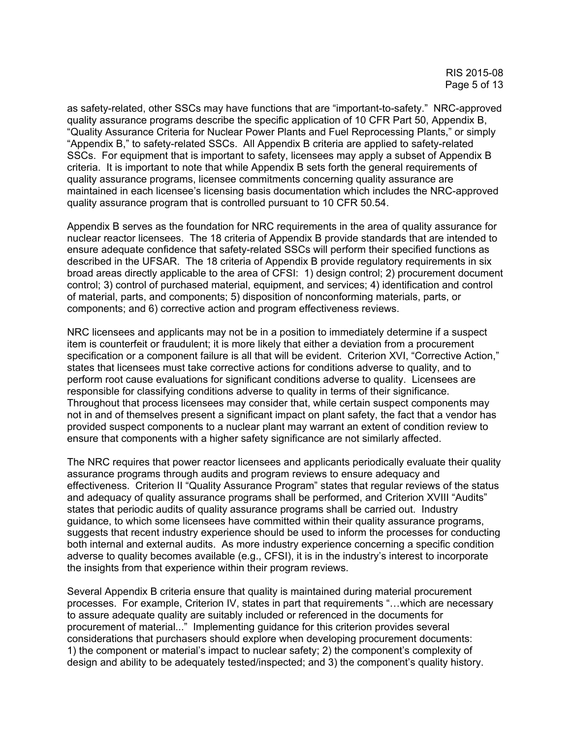as safety-related, other SSCs may have functions that are "important-to-safety." NRC-approved quality assurance programs describe the specific application of 10 CFR Part 50, Appendix B, "Quality Assurance Criteria for Nuclear Power Plants and Fuel Reprocessing Plants," or simply "Appendix B," to safety-related SSCs. All Appendix B criteria are applied to safety-related SSCs. For equipment that is important to safety, licensees may apply a subset of Appendix B criteria. It is important to note that while Appendix B sets forth the general requirements of quality assurance programs, licensee commitments concerning quality assurance are maintained in each licensee's licensing basis documentation which includes the NRC-approved quality assurance program that is controlled pursuant to 10 CFR 50.54.

Appendix B serves as the foundation for NRC requirements in the area of quality assurance for nuclear reactor licensees. The 18 criteria of Appendix B provide standards that are intended to ensure adequate confidence that safety-related SSCs will perform their specified functions as described in the UFSAR. The 18 criteria of Appendix B provide regulatory requirements in six broad areas directly applicable to the area of CFSI: 1) design control; 2) procurement document control; 3) control of purchased material, equipment, and services; 4) identification and control of material, parts, and components; 5) disposition of nonconforming materials, parts, or components; and 6) corrective action and program effectiveness reviews.

NRC licensees and applicants may not be in a position to immediately determine if a suspect item is counterfeit or fraudulent; it is more likely that either a deviation from a procurement specification or a component failure is all that will be evident. Criterion XVI, "Corrective Action," states that licensees must take corrective actions for conditions adverse to quality, and to perform root cause evaluations for significant conditions adverse to quality. Licensees are responsible for classifying conditions adverse to quality in terms of their significance. Throughout that process licensees may consider that, while certain suspect components may not in and of themselves present a significant impact on plant safety, the fact that a vendor has provided suspect components to a nuclear plant may warrant an extent of condition review to ensure that components with a higher safety significance are not similarly affected.

The NRC requires that power reactor licensees and applicants periodically evaluate their quality assurance programs through audits and program reviews to ensure adequacy and effectiveness. Criterion II "Quality Assurance Program" states that regular reviews of the status and adequacy of quality assurance programs shall be performed, and Criterion XVIII "Audits" states that periodic audits of quality assurance programs shall be carried out. Industry guidance, to which some licensees have committed within their quality assurance programs, suggests that recent industry experience should be used to inform the processes for conducting both internal and external audits. As more industry experience concerning a specific condition adverse to quality becomes available (e.g., CFSI), it is in the industry's interest to incorporate the insights from that experience within their program reviews.

Several Appendix B criteria ensure that quality is maintained during material procurement processes. For example, Criterion IV, states in part that requirements "…which are necessary to assure adequate quality are suitably included or referenced in the documents for procurement of material..." Implementing guidance for this criterion provides several considerations that purchasers should explore when developing procurement documents: 1) the component or material's impact to nuclear safety; 2) the component's complexity of design and ability to be adequately tested/inspected; and 3) the component's quality history.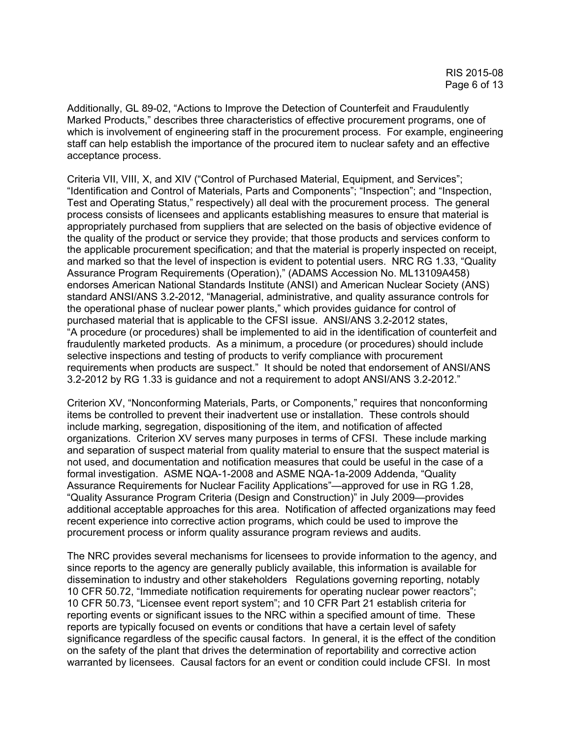Additionally, GL 89-02, "Actions to Improve the Detection of Counterfeit and Fraudulently Marked Products," describes three characteristics of effective procurement programs, one of which is involvement of engineering staff in the procurement process. For example, engineering staff can help establish the importance of the procured item to nuclear safety and an effective acceptance process.

Criteria VII, VIII, X, and XIV ("Control of Purchased Material, Equipment, and Services"; "Identification and Control of Materials, Parts and Components"; "Inspection"; and "Inspection, Test and Operating Status," respectively) all deal with the procurement process. The general process consists of licensees and applicants establishing measures to ensure that material is appropriately purchased from suppliers that are selected on the basis of objective evidence of the quality of the product or service they provide; that those products and services conform to the applicable procurement specification; and that the material is properly inspected on receipt, and marked so that the level of inspection is evident to potential users. NRC RG 1.33, "Quality Assurance Program Requirements (Operation)," (ADAMS Accession No. ML13109A458) endorses American National Standards Institute (ANSI) and American Nuclear Society (ANS) standard ANSI/ANS 3.2-2012, "Managerial, administrative, and quality assurance controls for the operational phase of nuclear power plants," which provides guidance for control of purchased material that is applicable to the CFSI issue. ANSI/ANS 3.2-2012 states, "A procedure (or procedures) shall be implemented to aid in the identification of counterfeit and fraudulently marketed products. As a minimum, a procedure (or procedures) should include selective inspections and testing of products to verify compliance with procurement requirements when products are suspect." It should be noted that endorsement of ANSI/ANS 3.2-2012 by RG 1.33 is guidance and not a requirement to adopt ANSI/ANS 3.2-2012."

Criterion XV, "Nonconforming Materials, Parts, or Components," requires that nonconforming items be controlled to prevent their inadvertent use or installation. These controls should include marking, segregation, dispositioning of the item, and notification of affected organizations. Criterion XV serves many purposes in terms of CFSI. These include marking and separation of suspect material from quality material to ensure that the suspect material is not used, and documentation and notification measures that could be useful in the case of a formal investigation. ASME NQA-1-2008 and ASME NQA-1a-2009 Addenda, "Quality Assurance Requirements for Nuclear Facility Applications"—approved for use in RG 1.28, "Quality Assurance Program Criteria (Design and Construction)" in July 2009—provides additional acceptable approaches for this area. Notification of affected organizations may feed recent experience into corrective action programs, which could be used to improve the procurement process or inform quality assurance program reviews and audits.

The NRC provides several mechanisms for licensees to provide information to the agency, and since reports to the agency are generally publicly available, this information is available for dissemination to industry and other stakeholders Regulations governing reporting, notably 10 CFR 50.72, "Immediate notification requirements for operating nuclear power reactors"; 10 CFR 50.73, "Licensee event report system"; and 10 CFR Part 21 establish criteria for reporting events or significant issues to the NRC within a specified amount of time. These reports are typically focused on events or conditions that have a certain level of safety significance regardless of the specific causal factors. In general, it is the effect of the condition on the safety of the plant that drives the determination of reportability and corrective action warranted by licensees. Causal factors for an event or condition could include CFSI. In most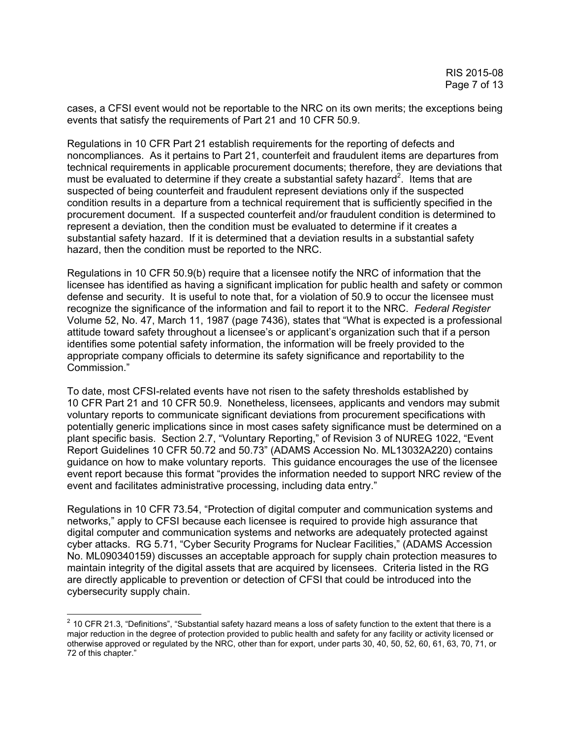cases, a CFSI event would not be reportable to the NRC on its own merits; the exceptions being events that satisfy the requirements of Part 21 and 10 CFR 50.9.

Regulations in 10 CFR Part 21 establish requirements for the reporting of defects and noncompliances. As it pertains to Part 21, counterfeit and fraudulent items are departures from technical requirements in applicable procurement documents; therefore, they are deviations that must be evaluated to determine if they create a substantial safety hazard<sup>2</sup>. Items that are suspected of being counterfeit and fraudulent represent deviations only if the suspected condition results in a departure from a technical requirement that is sufficiently specified in the procurement document. If a suspected counterfeit and/or fraudulent condition is determined to represent a deviation, then the condition must be evaluated to determine if it creates a substantial safety hazard. If it is determined that a deviation results in a substantial safety hazard, then the condition must be reported to the NRC.

Regulations in 10 CFR 50.9(b) require that a licensee notify the NRC of information that the licensee has identified as having a significant implication for public health and safety or common defense and security. It is useful to note that, for a violation of 50.9 to occur the licensee must recognize the significance of the information and fail to report it to the NRC. *Federal Register* Volume 52, No. 47, March 11, 1987 (page 7436), states that "What is expected is a professional attitude toward safety throughout a licensee's or applicant's organization such that if a person identifies some potential safety information, the information will be freely provided to the appropriate company officials to determine its safety significance and reportability to the Commission."

To date, most CFSI-related events have not risen to the safety thresholds established by 10 CFR Part 21 and 10 CFR 50.9. Nonetheless, licensees, applicants and vendors may submit voluntary reports to communicate significant deviations from procurement specifications with potentially generic implications since in most cases safety significance must be determined on a plant specific basis. Section 2.7, "Voluntary Reporting," of Revision 3 of NUREG 1022, "Event Report Guidelines 10 CFR 50.72 and 50.73" (ADAMS Accession No. ML13032A220) contains guidance on how to make voluntary reports. This guidance encourages the use of the licensee event report because this format "provides the information needed to support NRC review of the event and facilitates administrative processing, including data entry."

Regulations in 10 CFR 73.54, "Protection of digital computer and communication systems and networks," apply to CFSI because each licensee is required to provide high assurance that digital computer and communication systems and networks are adequately protected against cyber attacks. RG 5.71, "Cyber Security Programs for Nuclear Facilities," (ADAMS Accession No. ML090340159) discusses an acceptable approach for supply chain protection measures to maintain integrity of the digital assets that are acquired by licensees. Criteria listed in the RG are directly applicable to prevention or detection of CFSI that could be introduced into the cybersecurity supply chain.

 $\overline{a}$ 

 $2$  10 CFR 21.3, "Definitions", "Substantial safety hazard means a loss of safety function to the extent that there is a major reduction in the degree of protection provided to public health and safety for any facility or activity licensed or otherwise approved or regulated by the NRC, other than for export, under parts 30, 40, 50, 52, 60, 61, 63, 70, 71, or 72 of this chapter."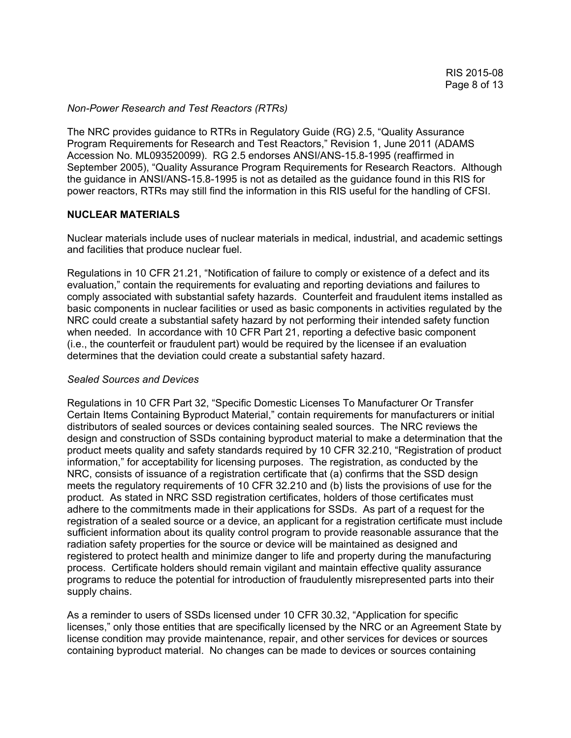#### *Non-Power Research and Test Reactors (RTRs)*

The NRC provides guidance to RTRs in Regulatory Guide (RG) 2.5, "Quality Assurance Program Requirements for Research and Test Reactors," Revision 1, June 2011 (ADAMS Accession No. ML093520099). RG 2.5 endorses ANSI/ANS-15.8-1995 (reaffirmed in September 2005), "Quality Assurance Program Requirements for Research Reactors. Although the guidance in ANSI/ANS-15.8-1995 is not as detailed as the guidance found in this RIS for power reactors, RTRs may still find the information in this RIS useful for the handling of CFSI.

## **NUCLEAR MATERIALS**

Nuclear materials include uses of nuclear materials in medical, industrial, and academic settings and facilities that produce nuclear fuel.

Regulations in 10 CFR 21.21, "Notification of failure to comply or existence of a defect and its evaluation," contain the requirements for evaluating and reporting deviations and failures to comply associated with substantial safety hazards. Counterfeit and fraudulent items installed as basic components in nuclear facilities or used as basic components in activities regulated by the NRC could create a substantial safety hazard by not performing their intended safety function when needed. In accordance with 10 CFR Part 21, reporting a defective basic component (i.e., the counterfeit or fraudulent part) would be required by the licensee if an evaluation determines that the deviation could create a substantial safety hazard.

## *Sealed Sources and Devices*

Regulations in 10 CFR Part 32, "Specific Domestic Licenses To Manufacturer Or Transfer Certain Items Containing Byproduct Material," contain requirements for manufacturers or initial distributors of sealed sources or devices containing sealed sources. The NRC reviews the design and construction of SSDs containing byproduct material to make a determination that the product meets quality and safety standards required by 10 CFR 32.210, "Registration of product information," for acceptability for licensing purposes. The registration, as conducted by the NRC, consists of issuance of a registration certificate that (a) confirms that the SSD design meets the regulatory requirements of 10 CFR 32.210 and (b) lists the provisions of use for the product. As stated in NRC SSD registration certificates, holders of those certificates must adhere to the commitments made in their applications for SSDs. As part of a request for the registration of a sealed source or a device, an applicant for a registration certificate must include sufficient information about its quality control program to provide reasonable assurance that the radiation safety properties for the source or device will be maintained as designed and registered to protect health and minimize danger to life and property during the manufacturing process. Certificate holders should remain vigilant and maintain effective quality assurance programs to reduce the potential for introduction of fraudulently misrepresented parts into their supply chains.

As a reminder to users of SSDs licensed under 10 CFR 30.32, "Application for specific licenses," only those entities that are specifically licensed by the NRC or an Agreement State by license condition may provide maintenance, repair, and other services for devices or sources containing byproduct material. No changes can be made to devices or sources containing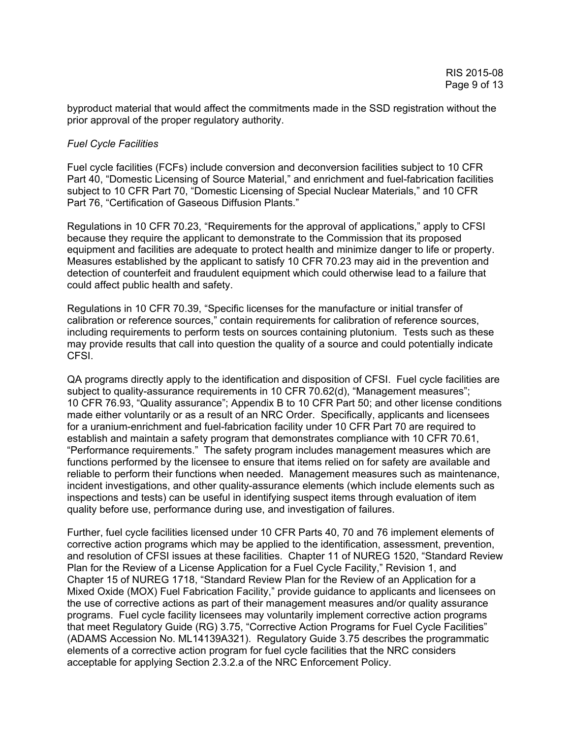byproduct material that would affect the commitments made in the SSD registration without the prior approval of the proper regulatory authority.

## *Fuel Cycle Facilities*

Fuel cycle facilities (FCFs) include conversion and deconversion facilities subject to 10 CFR Part 40, "Domestic Licensing of Source Material," and enrichment and fuel-fabrication facilities subject to 10 CFR Part 70, "Domestic Licensing of Special Nuclear Materials," and 10 CFR Part 76, "Certification of Gaseous Diffusion Plants."

Regulations in 10 CFR 70.23, "Requirements for the approval of applications," apply to CFSI because they require the applicant to demonstrate to the Commission that its proposed equipment and facilities are adequate to protect health and minimize danger to life or property. Measures established by the applicant to satisfy 10 CFR 70.23 may aid in the prevention and detection of counterfeit and fraudulent equipment which could otherwise lead to a failure that could affect public health and safety.

Regulations in 10 CFR 70.39, "Specific licenses for the manufacture or initial transfer of calibration or reference sources," contain requirements for calibration of reference sources, including requirements to perform tests on sources containing plutonium. Tests such as these may provide results that call into question the quality of a source and could potentially indicate CFSI.

QA programs directly apply to the identification and disposition of CFSI. Fuel cycle facilities are subject to quality-assurance requirements in 10 CFR 70.62(d), "Management measures"; 10 CFR 76.93, "Quality assurance"; Appendix B to 10 CFR Part 50; and other license conditions made either voluntarily or as a result of an NRC Order. Specifically, applicants and licensees for a uranium-enrichment and fuel-fabrication facility under 10 CFR Part 70 are required to establish and maintain a safety program that demonstrates compliance with 10 CFR 70.61, "Performance requirements." The safety program includes management measures which are functions performed by the licensee to ensure that items relied on for safety are available and reliable to perform their functions when needed. Management measures such as maintenance, incident investigations, and other quality-assurance elements (which include elements such as inspections and tests) can be useful in identifying suspect items through evaluation of item quality before use, performance during use, and investigation of failures.

Further, fuel cycle facilities licensed under 10 CFR Parts 40, 70 and 76 implement elements of corrective action programs which may be applied to the identification, assessment, prevention, and resolution of CFSI issues at these facilities. Chapter 11 of NUREG 1520, "Standard Review Plan for the Review of a License Application for a Fuel Cycle Facility," Revision 1, and Chapter 15 of NUREG 1718, "Standard Review Plan for the Review of an Application for a Mixed Oxide (MOX) Fuel Fabrication Facility," provide guidance to applicants and licensees on the use of corrective actions as part of their management measures and/or quality assurance programs. Fuel cycle facility licensees may voluntarily implement corrective action programs that meet Regulatory Guide (RG) 3.75, "Corrective Action Programs for Fuel Cycle Facilities" (ADAMS Accession No. ML14139A321). Regulatory Guide 3.75 describes the programmatic elements of a corrective action program for fuel cycle facilities that the NRC considers acceptable for applying Section 2.3.2.a of the NRC Enforcement Policy.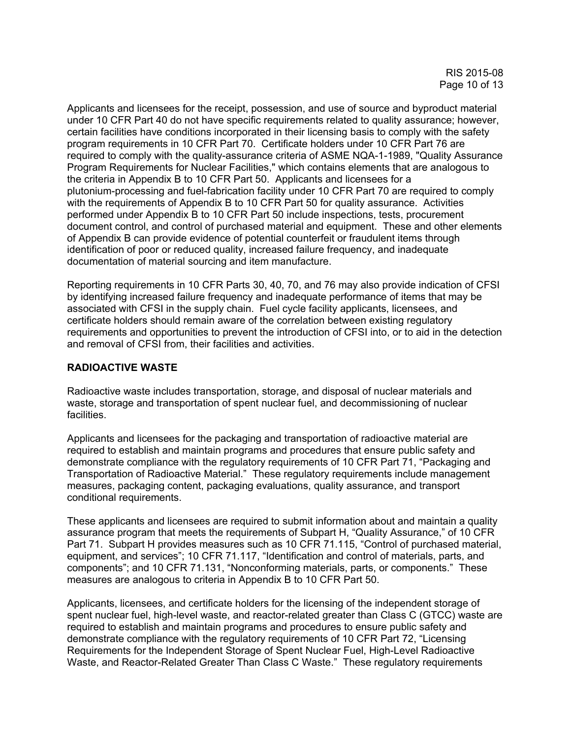Applicants and licensees for the receipt, possession, and use of source and byproduct material under 10 CFR Part 40 do not have specific requirements related to quality assurance; however, certain facilities have conditions incorporated in their licensing basis to comply with the safety program requirements in 10 CFR Part 70. Certificate holders under 10 CFR Part 76 are required to comply with the quality-assurance criteria of ASME NQA-1-1989, "Quality Assurance Program Requirements for Nuclear Facilities," which contains elements that are analogous to the criteria in Appendix B to 10 CFR Part 50. Applicants and licensees for a plutonium-processing and fuel-fabrication facility under 10 CFR Part 70 are required to comply with the requirements of Appendix B to 10 CFR Part 50 for quality assurance. Activities performed under Appendix B to 10 CFR Part 50 include inspections, tests, procurement document control, and control of purchased material and equipment. These and other elements of Appendix B can provide evidence of potential counterfeit or fraudulent items through identification of poor or reduced quality, increased failure frequency, and inadequate documentation of material sourcing and item manufacture.

Reporting requirements in 10 CFR Parts 30, 40, 70, and 76 may also provide indication of CFSI by identifying increased failure frequency and inadequate performance of items that may be associated with CFSI in the supply chain. Fuel cycle facility applicants, licensees, and certificate holders should remain aware of the correlation between existing regulatory requirements and opportunities to prevent the introduction of CFSI into, or to aid in the detection and removal of CFSI from, their facilities and activities.

# **RADIOACTIVE WASTE**

Radioactive waste includes transportation, storage, and disposal of nuclear materials and waste, storage and transportation of spent nuclear fuel, and decommissioning of nuclear facilities.

Applicants and licensees for the packaging and transportation of radioactive material are required to establish and maintain programs and procedures that ensure public safety and demonstrate compliance with the regulatory requirements of 10 CFR Part 71, "Packaging and Transportation of Radioactive Material." These regulatory requirements include management measures, packaging content, packaging evaluations, quality assurance, and transport conditional requirements.

These applicants and licensees are required to submit information about and maintain a quality assurance program that meets the requirements of Subpart H, "Quality Assurance," of 10 CFR Part 71. Subpart H provides measures such as 10 CFR 71.115, "Control of purchased material, equipment, and services"; 10 CFR 71.117, "Identification and control of materials, parts, and components"; and 10 CFR 71.131, "Nonconforming materials, parts, or components." These measures are analogous to criteria in Appendix B to 10 CFR Part 50.

Applicants, licensees, and certificate holders for the licensing of the independent storage of spent nuclear fuel, high-level waste, and reactor-related greater than Class C (GTCC) waste are required to establish and maintain programs and procedures to ensure public safety and demonstrate compliance with the regulatory requirements of 10 CFR Part 72, "Licensing Requirements for the Independent Storage of Spent Nuclear Fuel, High-Level Radioactive Waste, and Reactor-Related Greater Than Class C Waste." These regulatory requirements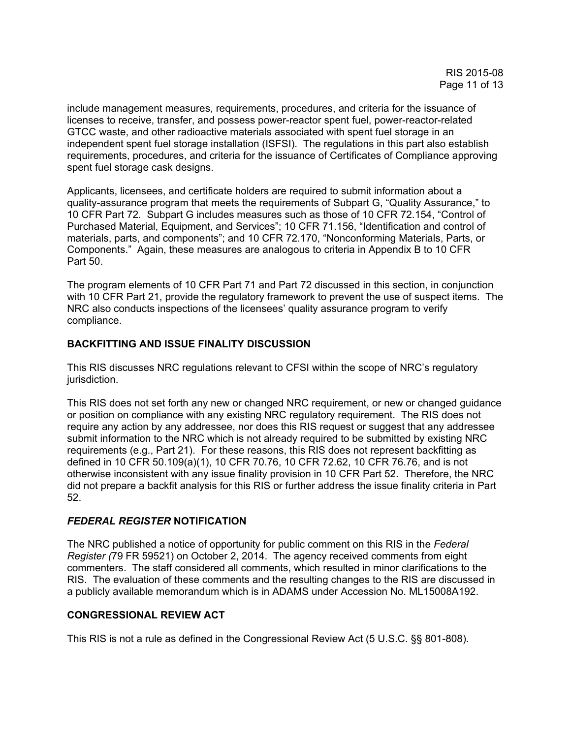include management measures, requirements, procedures, and criteria for the issuance of licenses to receive, transfer, and possess power-reactor spent fuel, power-reactor-related GTCC waste, and other radioactive materials associated with spent fuel storage in an independent spent fuel storage installation (ISFSI). The regulations in this part also establish requirements, procedures, and criteria for the issuance of Certificates of Compliance approving spent fuel storage cask designs.

Applicants, licensees, and certificate holders are required to submit information about a quality-assurance program that meets the requirements of Subpart G, "Quality Assurance," to 10 CFR Part 72. Subpart G includes measures such as those of 10 CFR 72.154, "Control of Purchased Material, Equipment, and Services"; 10 CFR 71.156, "Identification and control of materials, parts, and components"; and 10 CFR 72.170, "Nonconforming Materials, Parts, or Components." Again, these measures are analogous to criteria in Appendix B to 10 CFR Part 50.

The program elements of 10 CFR Part 71 and Part 72 discussed in this section, in conjunction with 10 CFR Part 21, provide the regulatory framework to prevent the use of suspect items. The NRC also conducts inspections of the licensees' quality assurance program to verify compliance.

# **BACKFITTING AND ISSUE FINALITY DISCUSSION**

This RIS discusses NRC regulations relevant to CFSI within the scope of NRC's regulatory jurisdiction.

This RIS does not set forth any new or changed NRC requirement, or new or changed guidance or position on compliance with any existing NRC regulatory requirement. The RIS does not require any action by any addressee, nor does this RIS request or suggest that any addressee submit information to the NRC which is not already required to be submitted by existing NRC requirements (e.g., Part 21). For these reasons, this RIS does not represent backfitting as defined in 10 CFR 50.109(a)(1), 10 CFR 70.76, 10 CFR 72.62, 10 CFR 76.76, and is not otherwise inconsistent with any issue finality provision in 10 CFR Part 52. Therefore, the NRC did not prepare a backfit analysis for this RIS or further address the issue finality criteria in Part 52.

# *FEDERAL REGISTER* **NOTIFICATION**

The NRC published a notice of opportunity for public comment on this RIS in the *Federal Register (*79 FR 59521) on October 2, 2014. The agency received comments from eight commenters. The staff considered all comments, which resulted in minor clarifications to the RIS. The evaluation of these comments and the resulting changes to the RIS are discussed in a publicly available memorandum which is in ADAMS under Accession No. ML15008A192.

# **CONGRESSIONAL REVIEW ACT**

This RIS is not a rule as defined in the Congressional Review Act (5 U.S.C. §§ 801-808).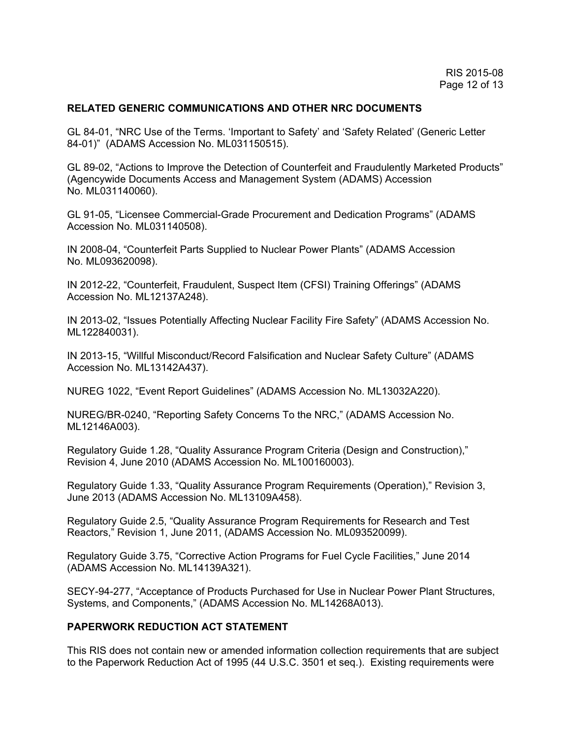## **RELATED GENERIC COMMUNICATIONS AND OTHER NRC DOCUMENTS**

GL 84-01, "NRC Use of the Terms. 'Important to Safety' and 'Safety Related' (Generic Letter 84-01)" (ADAMS Accession No. ML031150515).

GL 89-02, "Actions to Improve the Detection of Counterfeit and Fraudulently Marketed Products" (Agencywide Documents Access and Management System (ADAMS) Accession No. ML031140060).

GL 91-05, "Licensee Commercial-Grade Procurement and Dedication Programs" (ADAMS Accession No. ML031140508).

IN 2008-04, "Counterfeit Parts Supplied to Nuclear Power Plants" (ADAMS Accession No. ML093620098).

IN 2012-22, "Counterfeit, Fraudulent, Suspect Item (CFSI) Training Offerings" (ADAMS Accession No. ML12137A248).

IN 2013-02, "Issues Potentially Affecting Nuclear Facility Fire Safety" (ADAMS Accession No. ML122840031).

IN 2013-15, "Willful Misconduct/Record Falsification and Nuclear Safety Culture" (ADAMS Accession No. ML13142A437).

NUREG 1022, "Event Report Guidelines" (ADAMS Accession No. ML13032A220).

NUREG/BR-0240, "Reporting Safety Concerns To the NRC," (ADAMS Accession No. ML12146A003).

Regulatory Guide 1.28, "Quality Assurance Program Criteria (Design and Construction)," Revision 4, June 2010 (ADAMS Accession No. ML100160003).

Regulatory Guide 1.33, "Quality Assurance Program Requirements (Operation)," Revision 3, June 2013 (ADAMS Accession No. ML13109A458).

Regulatory Guide 2.5, "Quality Assurance Program Requirements for Research and Test Reactors," Revision 1, June 2011, (ADAMS Accession No. ML093520099).

Regulatory Guide 3.75, "Corrective Action Programs for Fuel Cycle Facilities," June 2014 (ADAMS Accession No. ML14139A321).

SECY-94-277, "Acceptance of Products Purchased for Use in Nuclear Power Plant Structures, Systems, and Components," (ADAMS Accession No. ML14268A013).

# **PAPERWORK REDUCTION ACT STATEMENT**

This RIS does not contain new or amended information collection requirements that are subject to the Paperwork Reduction Act of 1995 (44 U.S.C. 3501 et seq.). Existing requirements were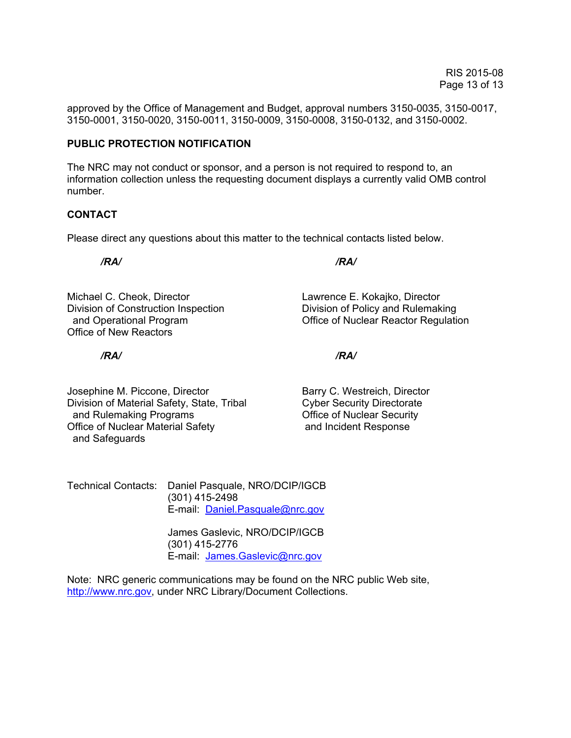approved by the Office of Management and Budget, approval numbers 3150-0035, 3150-0017, 3150-0001, 3150-0020, 3150-0011, 3150-0009, 3150-0008, 3150-0132, and 3150-0002.

## **PUBLIC PROTECTION NOTIFICATION**

The NRC may not conduct or sponsor, and a person is not required to respond to, an information collection unless the requesting document displays a currently valid OMB control number.

## **CONTACT**

Please direct any questions about this matter to the technical contacts listed below.

 */RA/ /RA/* 

Michael C. Cheok, Director Lawrence E. Kokajko, Director Division of Construction Inspection **Division of Policy and Rulemaking** and Operational Program **Contract Contract Contract Contract Contract Contract Contract Contract Contract Contract Contract Contract Contract Contract Contract Contract Contract Contract Contract Contract Contract Contract** Office of New Reactors

 */RA/ /RA/* 

Josephine M. Piccone, Director **Barry C. Westreich, Director** Division of Material Safety, State, Tribal Cyber Security Directorate and Rulemaking Programs **Contact Contact Contact Contact Contact Contact Contact Contact Contact Contact Contact Contact Contact Contact Contact Contact Contact Contact Contact Contact Contact Contact Contact Contact Conta** Office of Nuclear Material Safety **and Incident Response** and Safeguards

Technical Contacts: Daniel Pasquale, NRO/DCIP/IGCB (301) 415-2498 E-mail: Daniel.Pasquale@nrc.gov

> James Gaslevic, NRO/DCIP/IGCB (301) 415-2776 E-mail: James.Gaslevic@nrc.gov

Note: NRC generic communications may be found on the NRC public Web site, http://www.nrc.gov, under NRC Library/Document Collections.